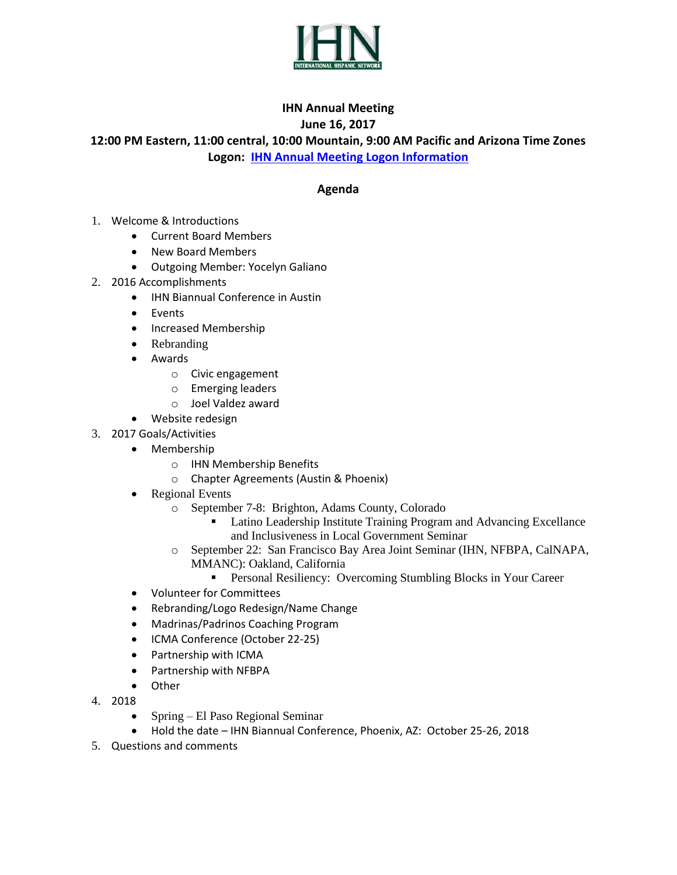

## **IHN Annual Meeting**

#### **June 16, 2017**

#### **12:00 PM Eastern, 11:00 central, 10:00 Mountain, 9:00 AM Pacific and Arizona Time Zones**

**Logon: [IHN Annual Meeting Logon Information](https://coactm.webex.com/coactm/onstage/g.php?MTID=e0df60ec825dee29a5b93bdbfe95f571d)**

#### **Agenda**

- 1. Welcome & Introductions
	- Current Board Members
	- New Board Members
	- Outgoing Member: Yocelyn Galiano
- 2. 2016 Accomplishments
	- IHN Biannual Conference in Austin
	- **•** Fvents
	- Increased Membership
	- Rebranding
	- Awards
		- o Civic engagement
		- o Emerging leaders
		- o Joel Valdez award
	- Website redesign
- 3. 2017 Goals/Activities
	- Membership
		- o IHN Membership Benefits
		- o Chapter Agreements (Austin & Phoenix)
	- Regional Events
		- o September 7-8: Brighton, Adams County, Colorado
			- **Latino Leadership Institute Training Program and Advancing Excellance** and Inclusiveness in Local Government Seminar
		- o September 22: San Francisco Bay Area Joint Seminar (IHN, NFBPA, CalNAPA, MMANC): Oakland, California
			- **Personal Resiliency: Overcoming Stumbling Blocks in Your Career**
	- Volunteer for Committees
	- Rebranding/Logo Redesign/Name Change
	- Madrinas/Padrinos Coaching Program
	- ICMA Conference (October 22-25)
	- Partnership with ICMA
	- Partnership with NFBPA
	- Other
- 4. 2018
	- Spring El Paso Regional Seminar
	- Hold the date IHN Biannual Conference, Phoenix, AZ: October 25-26, 2018
- 5. Questions and comments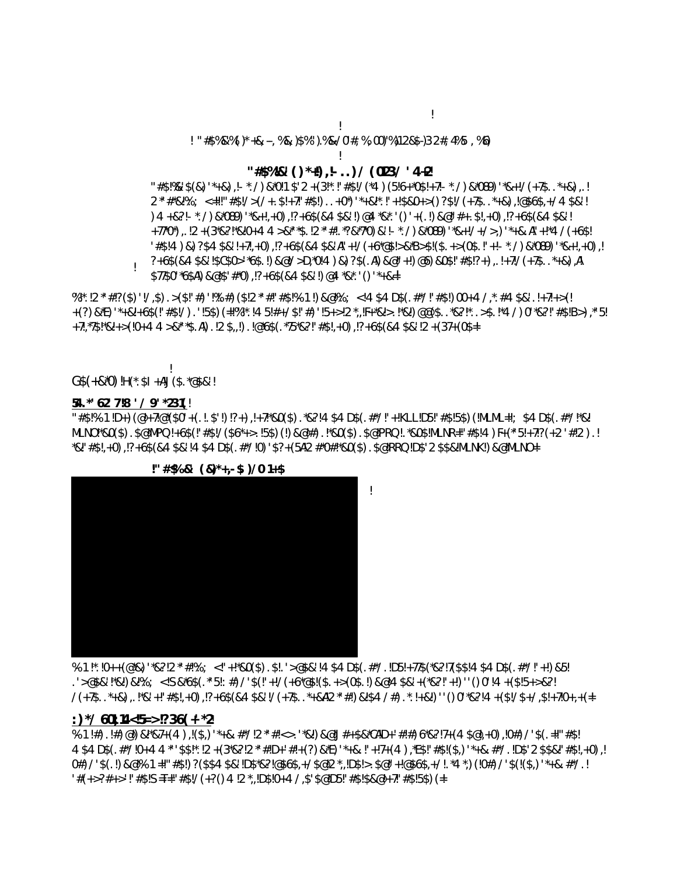$\mathbf{I}$ 

 $!$  "#\$%&'% $()$ \*+&, --, %&, )\$%").%&-/0'#, %, 00)'%)12&\$-)32#, 4%5, %6)

"#\$%!&'  $()$ \*+!), !-..) /  $(0123/74+2!$ 

"#\$!%('\$(&)'\*+&),!-\*./)&\*0!1\$'2+(3!\*.!'#\$!/(\*4)(5!6+\*0\$!+7!-\*./)&\*089)'\*&+!/(+7\$..\*+&),.!"  $2^{\star}$   $\#^8\{N : \langle 4||^2\#\$!/>(1+\frac{1}{2}+1)\frac{1}{2}\#\$|), \pm 0^{\star}\}$   $\pi + 8\pi$ ,  $\{1+\frac{1}{2}80+2\frac{1}{2}\frac{1}{2}\frac{1}{2}\frac{1}{2}\frac{1}{2}\frac{1}{2}\frac{1}{2}\frac{1}{2}\frac{1}{2}\frac{1}{2}\frac{1}{2}\frac{1}{2}\frac{1}{2}\frac{1}{2}\frac{1}{2}\frac{1}{2}\frac{1}{2}\frac{1}{2}\frac{1}{2}\frac{1}{2}\frac{1}{2}\frac{1}{2}\frac$  $(4+8$ ?!-\*./ $8^{089}$ '&+!,+0).!?+6\$ $(84$ \$&'!)@4\*&\*.'()'+(.!)&@!'#+.\$!,+0).!?+6\$ $(84$ \$&'! +77°0\*),.!2+(3\*&?!\*&!0+44>&\*'\*\$.!2\*'#!.\*?&\*7\*0)&'!-\*./)&\*089)'\*&+!/+/>,)'\*+&.A!'+!\*4/(+6\$!  $'$ #\$!4)&)?\$4\$&'!+7!,+0),!?+6\$(&4\$&'A!'+!/(+6\*@\$!>&\*B>\$!(\$.+>(0\$.!'+!-\*./)&\*089)'\*&+!,+0),!  $?+6\$(\&4\$ \&'!\\$C\\$0&gt' \*6\$.!)  $\&@!/>D$  \*0! $4$  )  $&)$  ?\$(.A!)  $\&@!/+1)$   $@()$   $\&0\$ !'  $\#$ \$!?+), .!+7!/(+7\$..\*+&),A!  $$77$0'$ \*6\$A!)&@!\$'#\*0),!?+6\$(&4\$&'!)@4\*&\*.'()'\*+&=!

 $\frac{1}{2}$   $\frac{1}{2}$   $\frac{1}{2}$   $\frac{1}{2}$   $\frac{1}{2}$   $\frac{1}{2}$   $\frac{1}{2}$   $\frac{1}{2}$   $\frac{1}{2}$   $\frac{1}{2}$   $\frac{1}{2}$   $\frac{1}{2}$   $\frac{1}{2}$   $\frac{1}{2}$   $\frac{1}{2}$   $\frac{1}{2}$   $\frac{1}{2}$   $\frac{1}{2}$   $\frac{1}{2}$   $\frac{1}{2}$   $\frac{1}{2}$   $\frac{1}{2}$  +(?)&\*E)'\*+&!+6\$(!'#\$!/).'!5\$)(=!!%|\*.!45!#+/\$!'#)'!5+>!2\*,,!F+\*&!>\_!\*&!)@@(\$..\*&?!\*..>\$\_!\*4/)0'\*&?!'#\$!B>),\*'5!  $+7!$ , 7\$!\*&!+>(!0+44>&\*'\*\$.A!). !2\$,,!). !@\*6\$(.\*75\*&?!'#\$!,+0),!?+6\$(&4\$&'!2+(37+(0\$=!)

 $G$(+&*0)$  !H(\* . \$1 +A!J(\$ . \*@\$&'!

54. \*' 62' 7!8' /9' \*231(!

"#\$!%-1!D+)(@!+7!@\*(\$0'+(.!.\$'!)!?+),!+7!\*&0(\$).\*&?!4\$4D\$(.#\*/!'+!KLL!D5!'#\$!5\$)(!MLML=!!; \$4D\$(.#\*/!\*&! MLNO!\*&0(\$).\$@!MPQ!+6\$(!'#\$!/(\$6\*+>.!5\$)(!)&@!#).!\*&0(\$).\$@!PRQ!.\*&0\$!MLNR=!"#\$!4)f+(\*'5!+7!?(+2'#!2).! \*&!'#\$!,+0),!?+6\$(&4\$&'!4\$4D\$(.#\*/!0)'\$?+(5A2#\*0#!\*&0(\$).\$@!RRQ!D\$'2\$\$&!MLNK!)&@!MLNO=!

 $\mathbf{I}$ 



 $!$ " #\$%&'  $({\&})^*$ +,-\$.)/O1+\$

 $-1$ \*.10++(@\*&)'\*&?!2\*'#!%; <!'+!\*&0(\$).\$!.'>@\$&'!4\$4D\$(.#\*/.!D5!+77\$(\*&?!7(\$\$!4\$4D\$(.#\*/!'+!)&5! .'>@\$&'!\*&!)&!% ; <!S&\*6\$(.\*'5!: #)/'\$(!'+!/(+6\*@\$!(\$.+>(0\$.!)&@!4\$&'+(\*&?!'+!)''()0'!4+(\$!5+>&?!  $/(+7\$ ..\*+&)..!\*&'+!'#\$!,+0).!?+6\$(&4\$&'!/(+7\$..\*+&A!2\*'#!)&!\$4/#).\*.!+&!)''()0'\*&?!4+(\$!/\$+/,\$!+7!0+,+(=!

#### :  $\frac{1}{2}$   $\frac{\sqrt{60}}{14}$  < 14 < 15 = > 1?36 (+' \*21

%-1!#).!#)@!)&!\*&7+(4),!(\$,)'\*+&.#\*/!2\*'#!<>.'\*&!)&@!J#+\$&\*CA!D+'#!#)6\*&?!7+(4\$@!,+0),!0#)/'\$(.=!!"#\$! 4\$4D\$(.#\*/!0+44\*''\$\$!\*.!2+(3\*&?!2\*'#!D+'#!+(?)&\*E)'\*+&.!'+!7+(4),\*E\$!'#\$!(\$,)'\*+&.#\*/.!D\$'2\$\$&!'#\$!,+0),!  $0$ #)/'\$(.!)&@!%-1=!!'#\$!)?(\$\$4\$&'!D\$\*&?!@\$6\$,+/\$@!2\*,,!D\$!>.\$@!'+!@\$6\$,+/!.\*4\*,)(!0#)/'\$(!(\$,)'\*+&.#\*/.!  $'#(+>?#>>$ !'#\$!S=T=!"#\$!/(+?()4!2\*,.!D\$!0+4/,\$'\$@!D5!'#\$!\$&@!+7!'#\$!5\$)(=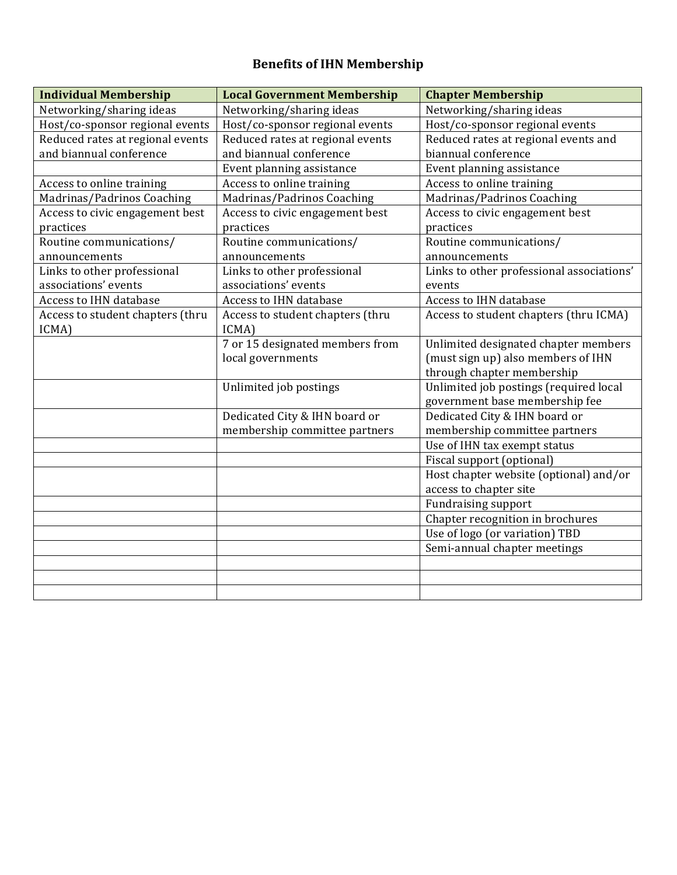## **Benefits of IHN Membership**

| <b>Individual Membership</b>     | <b>Local Government Membership</b> | <b>Chapter Membership</b>                 |
|----------------------------------|------------------------------------|-------------------------------------------|
| Networking/sharing ideas         | Networking/sharing ideas           | Networking/sharing ideas                  |
| Host/co-sponsor regional events  | Host/co-sponsor regional events    | Host/co-sponsor regional events           |
| Reduced rates at regional events | Reduced rates at regional events   | Reduced rates at regional events and      |
| and biannual conference          | and biannual conference            | biannual conference                       |
|                                  | Event planning assistance          | Event planning assistance                 |
| Access to online training        | Access to online training          | Access to online training                 |
| Madrinas/Padrinos Coaching       | Madrinas/Padrinos Coaching         | Madrinas/Padrinos Coaching                |
| Access to civic engagement best  | Access to civic engagement best    | Access to civic engagement best           |
| practices                        | practices                          | practices                                 |
| Routine communications/          | Routine communications/            | Routine communications/                   |
| announcements                    | announcements                      | announcements                             |
| Links to other professional      | Links to other professional        | Links to other professional associations' |
| associations' events             | associations' events               | events                                    |
| Access to IHN database           | Access to IHN database             | Access to IHN database                    |
| Access to student chapters (thru | Access to student chapters (thru   | Access to student chapters (thru ICMA)    |
| ICMA)                            | ICMA)                              |                                           |
|                                  | 7 or 15 designated members from    | Unlimited designated chapter members      |
|                                  | local governments                  | (must sign up) also members of IHN        |
|                                  |                                    | through chapter membership                |
|                                  | Unlimited job postings             | Unlimited job postings (required local    |
|                                  |                                    | government base membership fee            |
|                                  | Dedicated City & IHN board or      | Dedicated City & IHN board or             |
|                                  | membership committee partners      | membership committee partners             |
|                                  |                                    | Use of IHN tax exempt status              |
|                                  |                                    | Fiscal support (optional)                 |
|                                  |                                    | Host chapter website (optional) and/or    |
|                                  |                                    | access to chapter site                    |
|                                  |                                    | <b>Fundraising support</b>                |
|                                  |                                    | Chapter recognition in brochures          |
|                                  |                                    | Use of logo (or variation) TBD            |
|                                  |                                    | Semi-annual chapter meetings              |
|                                  |                                    |                                           |
|                                  |                                    |                                           |
|                                  |                                    |                                           |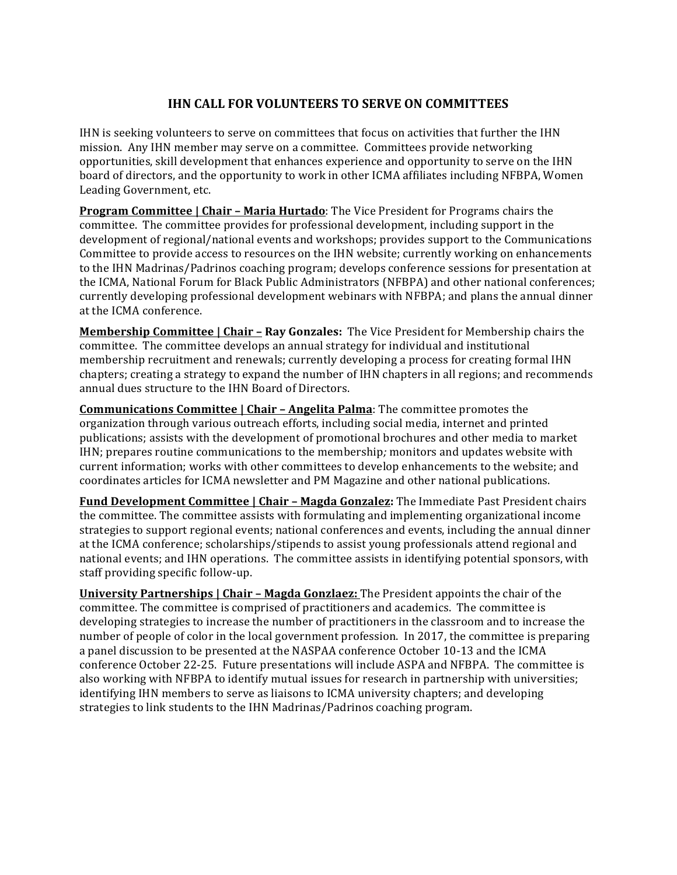#### **IHN CALL FOR VOLUNTEERS TO SERVE ON COMMITTEES**

IHN is seeking volunteers to serve on committees that focus on activities that further the IHN mission. Any IHN member may serve on a committee. Committees provide networking opportunities, skill development that enhances experience and opportunity to serve on the IHN board of directors, and the opportunity to work in other ICMA affiliates including NFBPA, Women Leading Government, etc.

**Program Committee | Chair – Maria Hurtado:** The Vice President for Programs chairs the committee. The committee provides for professional development, including support in the development of regional/national events and workshops; provides support to the Communications Committee to provide access to resources on the IHN website; currently working on enhancements to the IHN Madrinas/Padrinos coaching program; develops conference sessions for presentation at the ICMA, National Forum for Black Public Administrators (NFBPA) and other national conferences; currently developing professional development webinars with NFBPA; and plans the annual dinner at the ICMA conference.

**Membership Committee | Chair – Ray Gonzales:** The Vice President for Membership chairs the committee. The committee develops an annual strategy for individual and institutional membership recruitment and renewals; currently developing a process for creating formal IHN chapters; creating a strategy to expand the number of IHN chapters in all regions; and recommends annual dues structure to the IHN Board of Directors.

**Communications Committee | Chair – Angelita Palma:** The committee promotes the organization through various outreach efforts, including social media, internet and printed publications; assists with the development of promotional brochures and other media to market IHN; prepares routine communications to the membership; monitors and updates website with current information; works with other committees to develop enhancements to the website; and coordinates articles for ICMA newsletter and PM Magazine and other national publications.

**Fund Development Committee | Chair – Magda Gonzalez:** The Immediate Past President chairs the committee. The committee assists with formulating and implementing organizational income strategies to support regional events; national conferences and events, including the annual dinner at the ICMA conference; scholarships/stipends to assist young professionals attend regional and national events; and IHN operations. The committee assists in identifying potential sponsors, with staff providing specific follow-up.

**University Partnerships | Chair – Magda Gonzlaez:** The President appoints the chair of the committee. The committee is comprised of practitioners and academics. The committee is developing strategies to increase the number of practitioners in the classroom and to increase the number of people of color in the local government profession. In 2017, the committee is preparing a panel discussion to be presented at the NASPAA conference October 10-13 and the ICMA conference October 22-25. Future presentations will include ASPA and NFBPA. The committee is also working with NFBPA to identify mutual issues for research in partnership with universities; identifying IHN members to serve as liaisons to ICMA university chapters; and developing strategies to link students to the IHN Madrinas/Padrinos coaching program.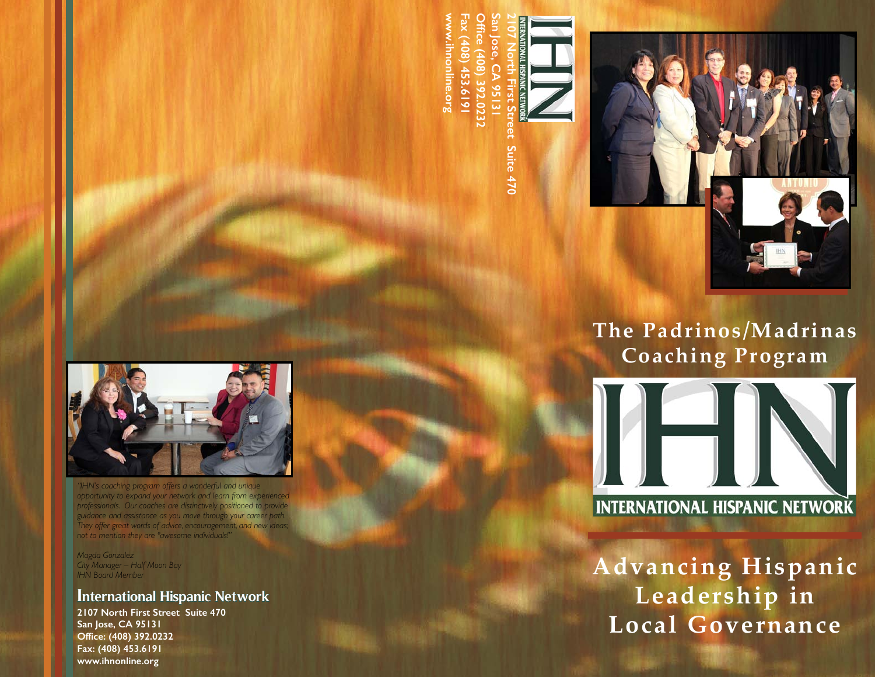





**The Padrinos/Madrinas Coaching Program**



**Advancing Hispanic Leadership in Local Governance**



*"IHN's coaching program offers a wonderful and unique opportunity to expand your network and learn from experienced professionals. Our coaches are distinctively positioned to provide guidance and assistance as you move through your career path. They offer great words of advice, encouragement, and new ideas; not to mention they are ºawesome individuals!"*

*Magda Gonzalez City Manager – Half Moon Bay IHN Board Member*

#### **International Hispanic Network**

**2107 North First Street Suite 470 San Jose, CA 95131 Office: (408) 392.0232 Fax: (408) 453.6191 www.ihnonline.org**